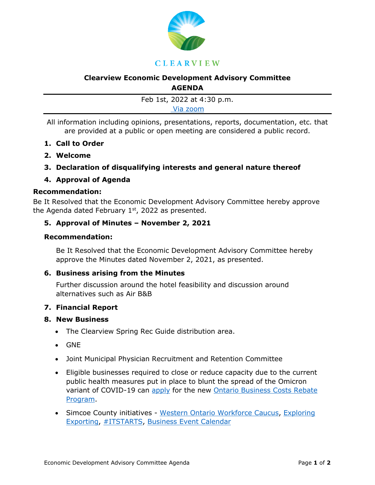

# **Clearview Economic Development Advisory Committee AGENDA**

Feb 1st, 2022 at 4:30 p.m. [Via zoom](mailto:https://us02web.zoom.us/j/81615477021?pwd=dDZZRHRIQVc0VFZGZUFRVFB0c1QyQT09)

All information including opinions, presentations, reports, documentation, etc. that are provided at a public or open meeting are considered a public record.

- **1. Call to Order**
- **2. Welcome**
- **3. Declaration of disqualifying interests and general nature thereof**

## **4. Approval of Agenda**

### **Recommendation:**

Be It Resolved that the Economic Development Advisory Committee hereby approve the Agenda dated February  $1<sup>st</sup>$ , 2022 as presented.

## **5. Approval of Minutes – November 2, 2021**

## **Recommendation:**

Be It Resolved that the Economic Development Advisory Committee hereby approve the Minutes dated November 2, 2021, as presented.

## **6. Business arising from the Minutes**

Further discussion around the hotel feasibility and discussion around alternatives such as Air B&B

#### **7. Financial Report**

#### **8. New Business**

- The Clearview Spring Rec Guide distribution area.
- GNE
- Joint Municipal Physician Recruitment and Retention Committee
- Eligible businesses required to close or reduce capacity due to the current public health measures put in place to blunt the spread of the Omicron variant of COVID-19 can [apply](https://r20.rs6.net/tn.jsp?f=001xoQTZyrzJ5txH6Plxo2w1hRZCaayMT6uxRfjX6oinfOTlJdIMTaaXH2vZWHUZ_yycLADwFgLCJXy4SpO2yUQuJxi_Foy5486bQlpiARzQBJCwgBBtKsTrJ_GoetvNrms0zOOay4_KaK-PimTlYbNrLxPi9dF4NZPFmRRtzJgtcCCyQvF8XNobZc2TGf2g7KlPqVYpQzSfQWD5emyAwHjoj3NfQI8N3LqDvq4csGn1B9dGd_Y1hgY0l8wuaE90wMuDmxwPBqszqWjnCCw3dwWQrpKzEJ9tgHAW0Q36OkYgLClUQT0fB2hZrTB4Je9v5mAricPrp95to1_5tyDY-T0JN7ETlSRklbDEC9fmO_flED3W_dBsPx_TUBFJtqOR18j2GWCMJblfaHk9LsllV5YFPBvPZiVEryjK3TuGUK9SA_cBEEIrCf5Dpp9YHAXtUOMNxFxQLM7YqtMxi9hpvCmf0F3hp-jZm9BEvaVVpeYEuOX3ixND-t7AOfigAsgYRDye4aF0dxV9s47APrxM4ghjx7N1JGRFLkhJtjRWVPicIsW-fRG-SZIFUnzRv8q7mEdzdhDjxYFbF6P_8OmYPNvs7noweY3LMHAR7m84tITyg6nt4L1PS51HFvJ2oH6RFEO-Vmr8An3cNXXv6yHr9Ybo8jhL4EoefG6m6wcBuR1dy9IJEcGLWwHIKdx-4E8JThN8D7tHCdBMNjyoCnNWNmHdnICW_EsY6LwkqkUtWRuhnhzm13q0ZfzP2-i06ziQjqYBBTecn2wAkPCyACgEEkO6keyuUWarhV67wmyeLatBvn2dHEyFxMZTPURVrbzfvvUj74ihKI6xzPZcN4jQn4MPvk1ZJd6vmpsu0lfDDqFWlByIyzabWVTSdL_nXqejDB7O8nMUJB6Ksj_DhWkc3bGt_KsJNzjXZvI8vfZC8SzZyjnRpZw-ZlHdUKPLnjTrad2pcfbW9N52Gak0w5iZVd8ogNJGlNv9INE3JbIcZQUDOYN_YJ5gMaE3cPFv0cYSyrVx94fHr_UxdiEUjTQia3B0S5LI9h5Vpd_NyQjruAbjir32kQg_Wvt0azD_mElxRXPp2MDGLf7ZFKaahDXfQdYfXn1U6aGeL1DyUmq8swExE4gPCHL0roSpY4pUayLGcSmcXbkJy8otOJx1hFC8twVZeOZEe2v8yvmWNA-Zql0rq0RgJxIvKlzCOHT6HaodIGOkPxiA1HtAeiAoJY-altGyIK2K4rhxBgfyMIlJrF1T6ZhU1vdielSyxbXST8oUyXo1iQNKSurHSoAbZgZcpZ8786mU5uRQHRIpHsgDcAVsjM9Ec101GTF9LhiVeH9U6uYoSTwf4NHMyp3Y47VbVXR_hAwBHqR4M3mPX5a3CIWnUGfE7ZChd27meJGG7D27SPQvR_oy0udc9ua_Eb5xgYe5ZEinQ5NGvbu9o6sQvbVTvBLqGBjL3nqjnVuS2fIWpMNr1QxGuU0yUZ1cATBNf6w-8RFZk_2AwD-&c=H2LZbWx7uHny2-uiV6jOvqYgwu9LTOZMJdZw5P8T16WmfEk_Ewm6SQ==&ch=8NKaAamZ7aezV4Oq4L3Q2Ub1Dw5bEgMNzmzk4Cdm-acSMl-QrQrAbg==) for the new Ontario Business Costs Rebate [Program.](https://r20.rs6.net/tn.jsp?f=001xoQTZyrzJ5txH6Plxo2w1hRZCaayMT6uxRfjX6oinfOTlJdIMTaaXH2vZWHUZ_yyns2JLb_cR1kqNVM4A_lGOdgi8GqkzGVlzM5xhgyUm-WcGgtkYT3OQGqEVJDeOB9uw3QJxyhQyL3AVTmfPAiljIOA_MlLeUtPSUxrnXBtLERNTIk9ldRJPpOxbB5O1cGMmyJv6NIc2DT5OAGkWJAR3MjR4iRu4Vd2ysxn52pA37XM5Y32u5B3q9SKTOT_tTCIReWRF5T_rWiGfm8zMnS57w-jrkDcldLaquUz1_6tPslCPfT50Na3KyKCLHNazqls8NwA5lnMHlpoiKPDneiUqurNH1lq4bu6Oa3vuuAKNYwSU4fUelxopn55wLinauBD0zrYoAdKe4YH4W_IjOBgeJUrFGaSm3E5PGdYExC8crrOzj1bkfb-PrpNds0nRYvNln-HesRt_4gFRfwDp9Uf95ZU3kWb9OQxecOZnOgzkiN3Q3ZtTb1adXQ8UG50ThvUlxdqkvwC2w0IJPrf7rB4q9-DibMloHoZwfjJgeq1yIHkWPEmon6agUKesQ4Lvb_HC6FNyo3jx7uKdsOiiiX2qscb6FoRgXxaCwOwYJsIjtD_3--q-_pShN1tTsYL0-gVk4cviQnVx2k3h6HzKkQIm6TwPvpeR24hZcjsJEsiAN7DI6Py8hHMrXvRGwtxmvFv-pIFKuJJuYpGqDVnIvoVEux1pCKlfmSPgO5-V65FWVSrAqtRtM0PYEFmYnBl0P3iP9WZZa6x9yZzNptUn4cEvLb-XFFGHaWOyHec6HKKv4_d_AODkTAjJ3RuDE6egWIC31DuYt69rPV9e2MSK0fmbH5ISouyHsF0ZA4WTB2NxkoRy12WLb1_aEx1d1Sw5tboJmMn0pTS30ymG58ZfQ6paLkja3GDAseGNxgfK7_0be2ijqPVTlC2NfeT0BXRSq7sk-pdSFnPNRA4pYObMrWV3r3ZPQwInyAA5wvrIap85ksmAjmMIOkOs_WHXSZ1DZleIhOc9ALzDUr1YvMiQu3ibjJLCJKZzP8eNa2HKgX5usYM3rY6bZUr1mTfB2n25z7otP4ZhyzyjqV-4_0hdeVA_edPbb6JADq0I3bjKModAQwLZiHU8U6WVIQnJUxKOYPbSYXD6a47TiEZLp2PBRDj3QtWBoDmzbNpwEQYN8UrwWXZNz9jsSL-YuzIOge8SN5rNb0E53OIrDGNItMWddxIaV_uqHHES3zpduAvjZgeN7hQKSNgU2-sVL9NXNYCoQvhsV7xYIP2CLvf51TFbDg_nFQz1WLrmBuGP6vl-zXZdImeeEdTbt35yvH6IgyUvDgqclFVYz6EDkB5xv-F3VUGrutKaOB9c9njEXkrU3ettUTMNxdPsgfIPpdLaP0Vci47nbedVJX3nLdRJLSla5EY-0s23MqXQBXvFLTV69ZMXu7LBxpDWq1Gh9Z0g48x1eu8snSONa7lFnj9FfWQvPFoxeRM33cYCri1&c=H2LZbWx7uHny2-uiV6jOvqYgwu9LTOZMJdZw5P8T16WmfEk_Ewm6SQ==&ch=8NKaAamZ7aezV4Oq4L3Q2Ub1Dw5bEgMNzmzk4Cdm-acSMl-QrQrAbg==)
- Simcoe County initiatives [Western Ontario Workforce Caucus,](mailto:https://wowc.ca/western-ontario-workforce-strategy/%23:~:text=The%20Western%20Ontario%20Workforce%20Strategy,and%20the%20Province%20of%20Ontario.) Exploring [Exporting,](mailto:https://www.youtube.com/watch?v=ScvCss-h1vI) [#ITSTARTS,](https://events.eventzilla.net/e/ambassador-information-session--2138818924) [Business Event Calendar](https://edo.simcoe.ca/events-news-and-videos/events)